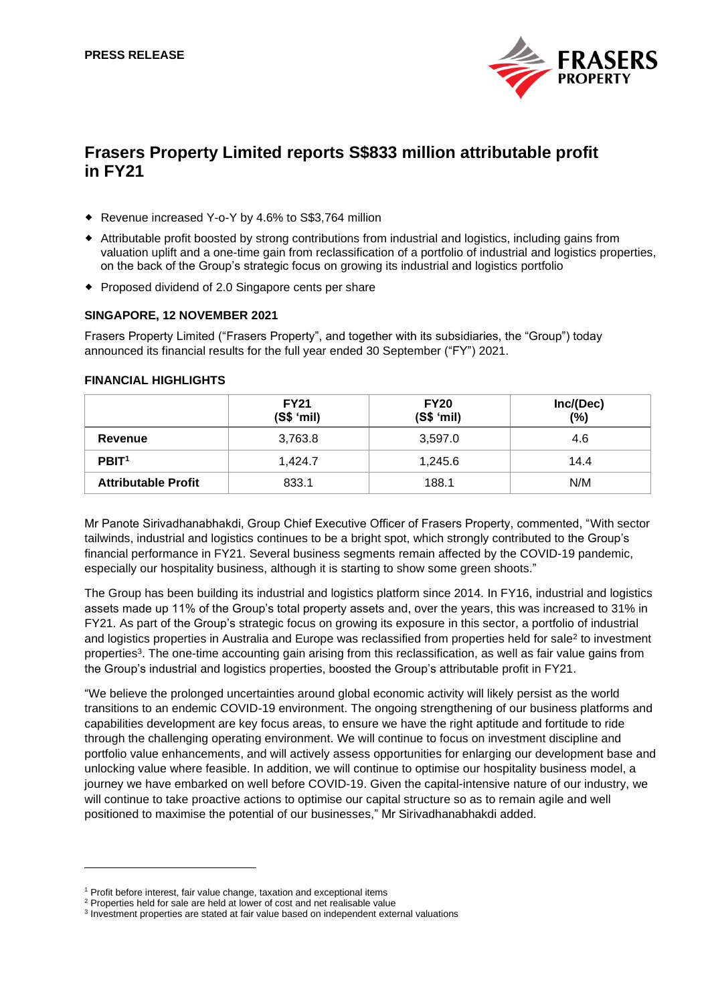

# **Frasers Property Limited reports S\$833 million attributable profit in FY21**

- ◆ Revenue increased Y-o-Y by 4.6% to S\$3.764 million
- Attributable profit boosted by strong contributions from industrial and logistics, including gains from valuation uplift and a one-time gain from reclassification of a portfolio of industrial and logistics properties, on the back of the Group's strategic focus on growing its industrial and logistics portfolio
- Proposed dividend of 2.0 Singapore cents per share

## **SINGAPORE, 12 NOVEMBER 2021**

Frasers Property Limited ("Frasers Property", and together with its subsidiaries, the "Group") today announced its financial results for the full year ended 30 September ("FY") 2021.

## **FINANCIAL HIGHLIGHTS**

|                            | <b>FY21</b><br>(S\$ 'mil) | <b>FY20</b><br>(S\$ 'mil) | Inc/(Dec)<br>(%) |
|----------------------------|---------------------------|---------------------------|------------------|
| Revenue                    | 3,763.8                   | 3,597.0                   | 4.6              |
| PBIT <sup>1</sup>          | 1,424.7                   | 1,245.6                   | 14.4             |
| <b>Attributable Profit</b> | 833.1                     | 188.1                     | N/M              |

Mr Panote Sirivadhanabhakdi, Group Chief Executive Officer of Frasers Property, commented, "With sector tailwinds, industrial and logistics continues to be a bright spot, which strongly contributed to the Group's financial performance in FY21. Several business segments remain affected by the COVID-19 pandemic, especially our hospitality business, although it is starting to show some green shoots."

The Group has been building its industrial and logistics platform since 2014. In FY16, industrial and logistics assets made up 11% of the Group's total property assets and, over the years, this was increased to 31% in FY21. As part of the Group's strategic focus on growing its exposure in this sector, a portfolio of industrial and logistics properties in Australia and Europe was reclassified from properties held for sale<sup>2</sup> to investment properties<sup>3</sup>. The one-time accounting gain arising from this reclassification, as well as fair value gains from the Group's industrial and logistics properties, boosted the Group's attributable profit in FY21.

"We believe the prolonged uncertainties around global economic activity will likely persist as the world transitions to an endemic COVID-19 environment. The ongoing strengthening of our business platforms and capabilities development are key focus areas, to ensure we have the right aptitude and fortitude to ride through the challenging operating environment. We will continue to focus on investment discipline and portfolio value enhancements, and will actively assess opportunities for enlarging our development base and unlocking value where feasible. In addition, we will continue to optimise our hospitality business model, a journey we have embarked on well before COVID-19. Given the capital-intensive nature of our industry, we will continue to take proactive actions to optimise our capital structure so as to remain agile and well positioned to maximise the potential of our businesses," Mr Sirivadhanabhakdi added.

<sup>&</sup>lt;sup>1</sup> Profit before interest, fair value change, taxation and exceptional items

<sup>&</sup>lt;sup>2</sup> Properties held for sale are held at lower of cost and net realisable value

<sup>&</sup>lt;sup>3</sup> Investment properties are stated at fair value based on independent external valuations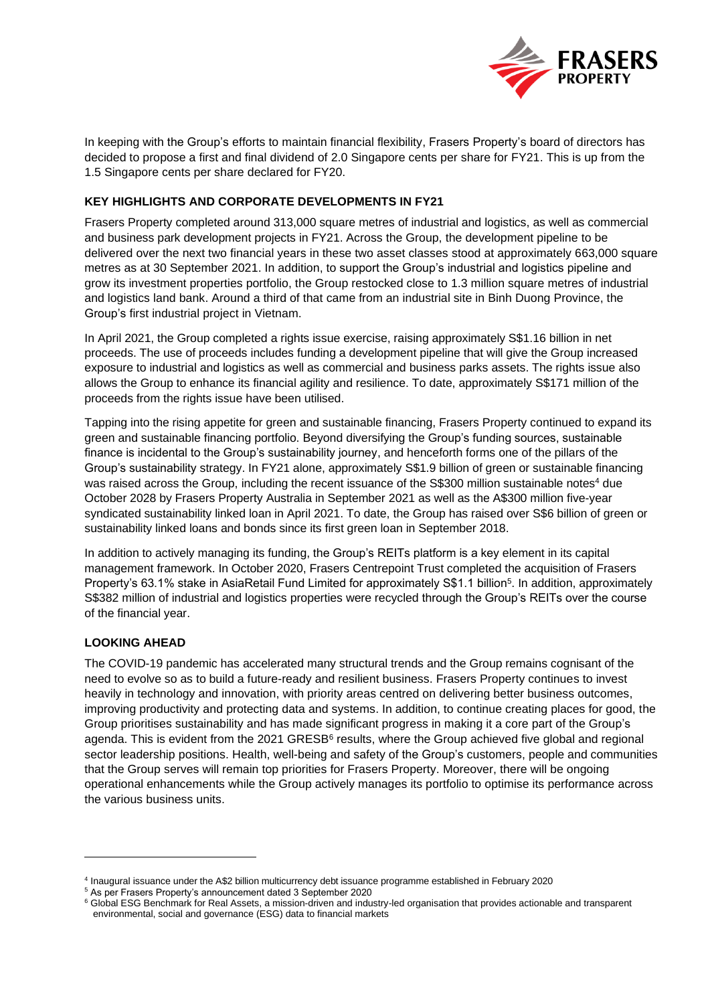

In keeping with the Group's efforts to maintain financial flexibility, Frasers Property's board of directors has decided to propose a first and final dividend of 2.0 Singapore cents per share for FY21. This is up from the 1.5 Singapore cents per share declared for FY20.

# **KEY HIGHLIGHTS AND CORPORATE DEVELOPMENTS IN FY21**

Frasers Property completed around 313,000 square metres of industrial and logistics, as well as commercial and business park development projects in FY21. Across the Group, the development pipeline to be delivered over the next two financial years in these two asset classes stood at approximately 663,000 square metres as at 30 September 2021. In addition, to support the Group's industrial and logistics pipeline and grow its investment properties portfolio, the Group restocked close to 1.3 million square metres of industrial and logistics land bank. Around a third of that came from an industrial site in Binh Duong Province, the Group's first industrial project in Vietnam.

In April 2021, the Group completed a rights issue exercise, raising approximately S\$1.16 billion in net proceeds. The use of proceeds includes funding a development pipeline that will give the Group increased exposure to industrial and logistics as well as commercial and business parks assets. The rights issue also allows the Group to enhance its financial agility and resilience. To date, approximately S\$171 million of the proceeds from the rights issue have been utilised.

Tapping into the rising appetite for green and sustainable financing, Frasers Property continued to expand its green and sustainable financing portfolio. Beyond diversifying the Group's funding sources, sustainable finance is incidental to the Group's sustainability journey, and henceforth forms one of the pillars of the Group's sustainability strategy. In FY21 alone, approximately S\$1.9 billion of green or sustainable financing was raised across the Group, including the recent issuance of the S\$300 million sustainable notes<sup>4</sup> due October 2028 by Frasers Property Australia in September 2021 as well as the A\$300 million five-year syndicated sustainability linked loan in April 2021. To date, the Group has raised over S\$6 billion of green or sustainability linked loans and bonds since its first green loan in September 2018.

In addition to actively managing its funding, the Group's REITs platform is a key element in its capital management framework. In October 2020, Frasers Centrepoint Trust completed the acquisition of Frasers Property's 63.1% stake in AsiaRetail Fund Limited for approximately S\$1.1 billion<sup>5</sup>. In addition, approximately S\$382 million of industrial and logistics properties were recycled through the Group's REITs over the course of the financial year.

# **LOOKING AHEAD**

The COVID-19 pandemic has accelerated many structural trends and the Group remains cognisant of the need to evolve so as to build a future-ready and resilient business. Frasers Property continues to invest heavily in technology and innovation, with priority areas centred on delivering better business outcomes, improving productivity and protecting data and systems. In addition, to continue creating places for good, the Group prioritises sustainability and has made significant progress in making it a core part of the Group's agenda. This is evident from the 2021 GRESB<sup>6</sup> results, where the Group achieved five global and regional sector leadership positions. Health, well-being and safety of the Group's customers, people and communities that the Group serves will remain top priorities for Frasers Property. Moreover, there will be ongoing operational enhancements while the Group actively manages its portfolio to optimise its performance across the various business units.

<sup>4</sup> Inaugural issuance under the A\$2 billion multicurrency debt issuance programme established in February 2020

<sup>5</sup> As per Frasers Property's announcement dated 3 September 2020

<sup>&</sup>lt;sup>6</sup> Global ESG Benchmark for Real Assets, a mission-driven and industry-led organisation that provides actionable and transparent environmental, social and governance (ESG) data to financial markets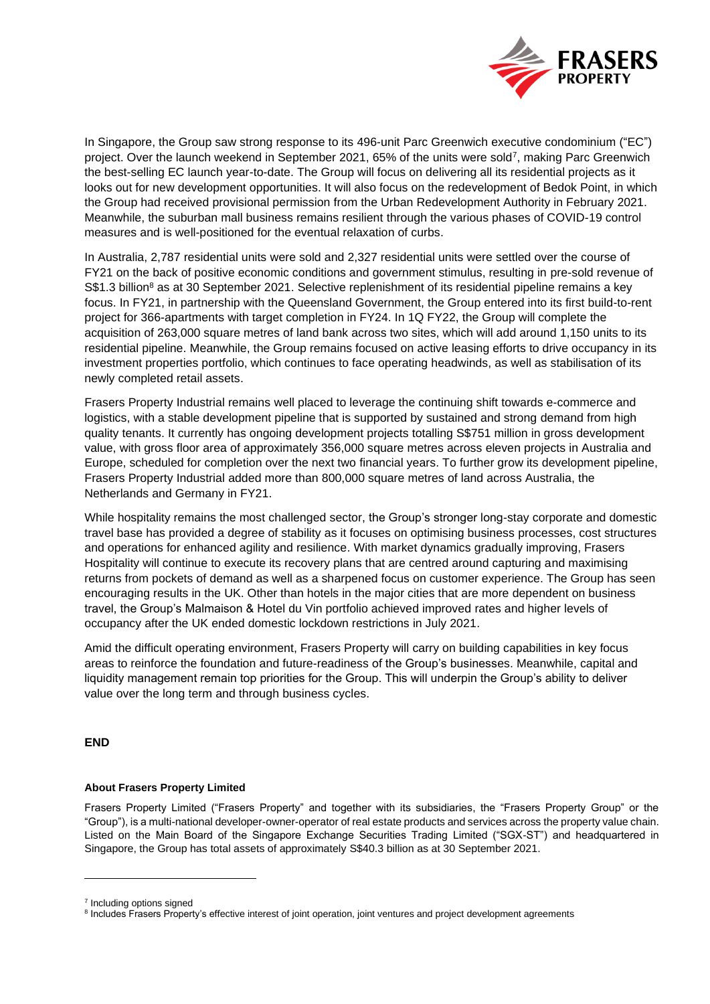

In Singapore, the Group saw strong response to its 496-unit Parc Greenwich executive condominium ("EC") project. Over the launch weekend in September 2021, 65% of the units were sold<sup>7</sup>, making Parc Greenwich the best-selling EC launch year-to-date. The Group will focus on delivering all its residential projects as it looks out for new development opportunities. It will also focus on the redevelopment of Bedok Point, in which the Group had received provisional permission from the Urban Redevelopment Authority in February 2021. Meanwhile, the suburban mall business remains resilient through the various phases of COVID-19 control measures and is well-positioned for the eventual relaxation of curbs.

In Australia, 2,787 residential units were sold and 2,327 residential units were settled over the course of FY21 on the back of positive economic conditions and government stimulus, resulting in pre-sold revenue of S\$1.3 billion<sup>8</sup> as at 30 September 2021. Selective replenishment of its residential pipeline remains a key focus. In FY21, in partnership with the Queensland Government, the Group entered into its first build-to-rent project for 366-apartments with target completion in FY24. In 1Q FY22, the Group will complete the acquisition of 263,000 square metres of land bank across two sites, which will add around 1,150 units to its residential pipeline. Meanwhile, the Group remains focused on active leasing efforts to drive occupancy in its investment properties portfolio, which continues to face operating headwinds, as well as stabilisation of its newly completed retail assets.

Frasers Property Industrial remains well placed to leverage the continuing shift towards e-commerce and logistics, with a stable development pipeline that is supported by sustained and strong demand from high quality tenants. It currently has ongoing development projects totalling S\$751 million in gross development value, with gross floor area of approximately 356,000 square metres across eleven projects in Australia and Europe, scheduled for completion over the next two financial years. To further grow its development pipeline, Frasers Property Industrial added more than 800,000 square metres of land across Australia, the Netherlands and Germany in FY21.

While hospitality remains the most challenged sector, the Group's stronger long-stay corporate and domestic travel base has provided a degree of stability as it focuses on optimising business processes, cost structures and operations for enhanced agility and resilience. With market dynamics gradually improving, Frasers Hospitality will continue to execute its recovery plans that are centred around capturing and maximising returns from pockets of demand as well as a sharpened focus on customer experience. The Group has seen encouraging results in the UK. Other than hotels in the major cities that are more dependent on business travel, the Group's Malmaison & Hotel du Vin portfolio achieved improved rates and higher levels of occupancy after the UK ended domestic lockdown restrictions in July 2021.

Amid the difficult operating environment, Frasers Property will carry on building capabilities in key focus areas to reinforce the foundation and future-readiness of the Group's businesses. Meanwhile, capital and liquidity management remain top priorities for the Group. This will underpin the Group's ability to deliver value over the long term and through business cycles.

# **END**

#### **About Frasers Property Limited**

Frasers Property Limited ("Frasers Property" and together with its subsidiaries, the "Frasers Property Group" or the "Group"), is a multi-national developer-owner-operator of real estate products and services across the property value chain. Listed on the Main Board of the Singapore Exchange Securities Trading Limited ("SGX-ST") and headquartered in Singapore, the Group has total assets of approximately S\$40.3 billion as at 30 September 2021.

<sup>&</sup>lt;sup>7</sup> Including options signed

<sup>&</sup>lt;sup>8</sup> Includes Frasers Property's effective interest of joint operation, joint ventures and project development agreements